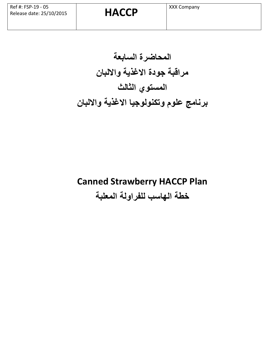**المحاضرة السابعة مراقبة جودة االغذية وااللبان المستوي الثالث برنامج علوم وتكنولوجيا االغذية وااللبان**

# **Canned Strawberry HACCP Plan خطة الهاسب للفراولة المعلبة**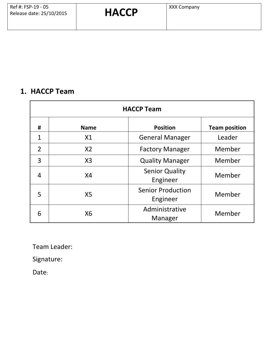#### **1. HACCP Team**

| <b>HACCP Team</b> |                |                                      |                      |  |  |  |  |  |  |
|-------------------|----------------|--------------------------------------|----------------------|--|--|--|--|--|--|
| #                 | <b>Name</b>    | <b>Position</b>                      | <b>Team position</b> |  |  |  |  |  |  |
| $\mathbf{1}$      | X1             | <b>General Manager</b>               | Leader               |  |  |  |  |  |  |
| $\overline{2}$    | X <sub>2</sub> | <b>Factory Manager</b>               | Member               |  |  |  |  |  |  |
| 3                 | X3             | <b>Quality Manager</b>               | Member               |  |  |  |  |  |  |
| 4                 | X <sub>4</sub> | <b>Senior Quality</b><br>Engineer    | Member               |  |  |  |  |  |  |
| 5                 | X <sub>5</sub> | <b>Senior Production</b><br>Engineer | Member               |  |  |  |  |  |  |
| 6                 | X6             | Administrative<br>Manager            | Member               |  |  |  |  |  |  |

Team Leader:

Signature:

Date: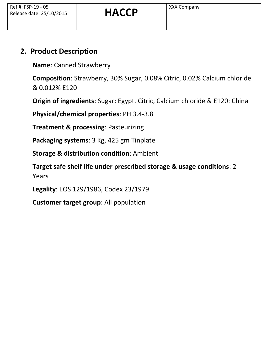#### **2. Product Description**

**Name**: Canned Strawberry

**Composition**: Strawberry, 30% Sugar, 0.08% Citric, 0.02% Calcium chloride & 0.012% E120

**Origin of ingredients**: Sugar: Egypt. Citric, Calcium chloride & E120: China

**Physical/chemical properties**: PH 3.4-3.8

**Treatment & processing**: Pasteurizing

**Packaging systems**: 3 Kg, 425 gm Tinplate

**Storage & distribution condition**: Ambient

**Target safe shelf life under prescribed storage & usage conditions**: 2 Years

**Legality**: EOS 129/1986, Codex 23/1979

**Customer target group**: All population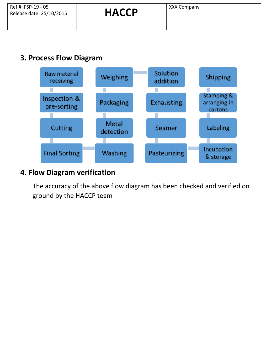#### **3. Process Flow Diagram**



#### **4. Flow Diagram verification**

The accuracy of the above flow diagram has been checked and verified on ground by the HACCP team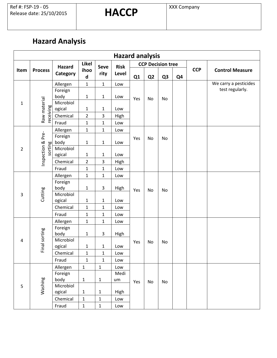## **Hazard Analysis**

| <b>Hazard analysis</b> |                |                    |                           |                     |                      |     |                |                          |                |            |                        |
|------------------------|----------------|--------------------|---------------------------|---------------------|----------------------|-----|----------------|--------------------------|----------------|------------|------------------------|
|                        |                | Hazard<br>Category | <b>Likel</b><br>ihoo<br>d |                     | <b>Risk</b><br>Level |     |                | <b>CCP Decision tree</b> |                |            |                        |
| Item                   | <b>Process</b> |                    |                           | <b>Seve</b><br>rity |                      | Q1  | Q <sub>2</sub> | Q <sub>3</sub>           | Q <sub>4</sub> | <b>CCP</b> | <b>Control Measure</b> |
|                        |                | Allergen           | $\mathbf{1}$              | $\mathbf{1}$        | Low                  |     |                |                          |                |            | We carry a pesticides  |
|                        | Raw material   | Foreign            |                           |                     |                      |     |                |                          |                |            | test regularly.        |
|                        |                | body               | $\mathbf 1$               | $\mathbf 1$         | Low                  | Yes | No             | No                       |                |            |                        |
| $\mathbf{1}$           |                | Microbiol          |                           |                     |                      |     |                |                          |                |            |                        |
|                        |                | ogical             | $\mathbf{1}$              | $\mathbf 1$         | Low                  |     |                |                          |                |            |                        |
|                        | receiving      | Chemical           | $\overline{2}$            | 3                   | High                 |     |                |                          |                |            |                        |
|                        |                | Fraud              | $\mathbf{1}$              | $\mathbf{1}$        | Low                  |     |                |                          |                |            |                        |
|                        |                | Allergen           | $\mathbf 1$               | $\mathbf{1}$        | Low                  |     |                |                          |                |            |                        |
|                        | <b>Pre-</b>    | Foreign            |                           |                     |                      | Yes | No             | No                       |                |            |                        |
|                        |                | body               | $\mathbf 1$               | $\mathbf{1}$        | Low                  |     |                |                          |                |            |                        |
| $\overline{2}$         | sorting        | Microbiol          |                           |                     |                      |     |                |                          |                |            |                        |
|                        | Inspection &   | ogical             | $\mathbf{1}$              | $\mathbf 1$         | Low                  |     |                |                          |                |            |                        |
|                        |                | Chemical           | $\overline{2}$            | 3                   | High                 |     |                |                          |                |            |                        |
|                        |                | Fraud              | $\mathbf 1$               | $\mathbf{1}$        | Low                  |     |                |                          |                |            |                        |
|                        | Cutting        | Allergen           | $\mathbf 1$               | $\mathbf{1}$        | Low                  | Yes | No             |                          |                |            |                        |
|                        |                | Foreign            |                           |                     |                      |     |                |                          |                |            |                        |
|                        |                | body<br>Microbiol  | $\mathbf{1}$              | 3                   | High                 |     |                | No                       |                |            |                        |
| 3                      |                | ogical             | $\mathbf{1}$              | $\mathbf{1}$        | Low                  |     |                |                          |                |            |                        |
|                        |                | Chemical           | $\mathbf 1$               | $\mathbf{1}$        | Low                  |     |                |                          |                |            |                        |
|                        |                | Fraud              | $\mathbf{1}$              | $\mathbf{1}$        | Low                  |     |                |                          |                |            |                        |
|                        |                | Allergen           | $\mathbf 1$               | $\mathbf{1}$        | Low                  |     |                |                          |                |            |                        |
|                        |                | Foreign            |                           |                     |                      | Yes | No             |                          |                |            |                        |
|                        | Final sorting  | body               | $\mathbf{1}$              | 3                   | High                 |     |                |                          |                |            |                        |
| 4                      |                | Microbiol          |                           |                     |                      |     |                | No                       |                |            |                        |
|                        |                | ogical             | $\mathbf{1}$              | $\mathbf{1}$        | Low                  |     |                |                          |                |            |                        |
|                        |                | Chemical           | $\mathbf{1}$              | $\mathbf{1}$        | Low                  |     |                |                          |                |            |                        |
|                        |                | Fraud              | $\mathbf 1$               | $\mathbf{1}$        | Low                  |     |                |                          |                |            |                        |
|                        |                | Allergen           | $\mathbf{1}$              | $\mathbf 1$         | Low                  |     |                |                          |                |            |                        |
|                        |                | Foreign            |                           |                     | Medi                 | Yes | No             |                          |                |            |                        |
|                        |                | body               | $\mathbf 1$               | $\mathbf{1}$        | um                   |     |                | No                       |                |            |                        |
| 5                      | Washing        | Microbiol          |                           |                     |                      |     |                |                          |                |            |                        |
|                        |                | ogical             | $\mathbf{1}$              | $\mathbf{1}$        | High                 |     |                |                          |                |            |                        |
|                        |                | Chemical           | $\mathbf 1$               | $\mathbf 1$         | Low                  |     |                |                          |                |            |                        |
|                        |                | Fraud              | $\mathbf 1$               | $\mathbf 1$         | Low                  |     |                |                          |                |            |                        |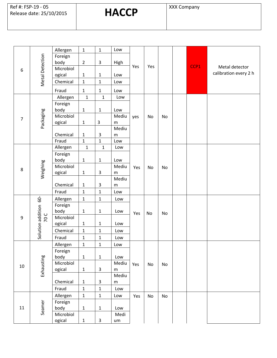|                |                               | Allergen        | $\mathbf 1$    | $\mathbf 1$  | Low       |     |     |    |      |                       |
|----------------|-------------------------------|-----------------|----------------|--------------|-----------|-----|-----|----|------|-----------------------|
| 6              | Metal Detection               | Foreign         |                |              |           | Yes |     |    |      |                       |
|                |                               | body            | $\overline{2}$ | 3            | High      |     |     |    | CCP1 |                       |
|                |                               | Microbiol       |                |              |           |     | Yes |    |      | Metal detector        |
|                |                               | ogical          | $\mathbf{1}$   | $\mathbf{1}$ | Low       |     |     |    |      | calibration every 2 h |
|                |                               | Chemical        | $\mathbf{1}$   | $\mathbf 1$  | Low       |     |     |    |      |                       |
|                |                               | Fraud           | $\mathbf{1}$   | $\mathbf 1$  | Low       |     |     |    |      |                       |
|                |                               | Allergen        | $\mathbf{1}$   | $\mathbf{1}$ | Low       |     |     |    |      |                       |
|                |                               | Foreign         |                |              |           |     |     |    |      |                       |
|                |                               | body            | $\mathbf{1}$   | $\mathbf{1}$ | Low       |     |     |    |      |                       |
| $\overline{7}$ |                               | Microbiol       |                |              | Mediu     | yes | No  | No |      |                       |
|                | Packaging                     | ogical          | $\mathbf{1}$   | $\mathsf 3$  | ${\sf m}$ |     |     |    |      |                       |
|                |                               |                 |                |              | Mediu     |     |     |    |      |                       |
|                |                               | Chemical        | $\mathbf{1}$   | 3            | ${\sf m}$ |     |     |    |      |                       |
|                |                               | Fraud           | $\mathbf{1}$   | $\mathbf{1}$ | Low       |     |     |    |      |                       |
|                |                               | Allergen        | $\mathbf 1$    | $\mathbf 1$  | Low       |     |     |    |      |                       |
|                |                               | Foreign<br>body | $\mathbf{1}$   | $\mathbf 1$  | Low       |     |     | No |      |                       |
|                |                               | Microbiol       |                |              | Mediu     | Yes |     |    |      |                       |
| 8              | Weighing                      | ogical          | $\mathbf{1}$   | 3            | m         |     | No  |    |      |                       |
|                |                               |                 |                |              | Mediu     |     |     |    |      |                       |
|                |                               | Chemical        | $\mathbf{1}$   | 3            | ${\sf m}$ |     |     |    |      |                       |
|                |                               | Fraud           | $\mathbf{1}$   | $\mathbf 1$  | Low       |     |     |    |      |                       |
|                | Solution addition 60-<br>70 C | Allergen        | $\mathbf{1}$   | $\mathbf 1$  | Low       | Yes | No  | No |      |                       |
|                |                               | Foreign         |                |              |           |     |     |    |      |                       |
|                |                               | body            | $\mathbf 1$    | $\mathbf{1}$ | Low       |     |     |    |      |                       |
| 9              |                               | Microbiol       |                |              |           |     |     |    |      |                       |
|                |                               | ogical          | $\mathbf{1}$   | $\mathbf{1}$ | Low       |     |     |    |      |                       |
|                |                               | Chemical        | $\mathbf{1}$   | $\mathbf 1$  | Low       |     |     |    |      |                       |
|                |                               | Fraud           | $\mathbf{1}$   | $\mathbf 1$  | Low       |     |     |    |      |                       |
|                |                               | Allergen        | $\mathbf{1}$   | $\mathbf{1}$ | Low       |     |     |    |      |                       |
|                |                               | Foreign         |                |              |           |     |     |    |      |                       |
|                | Exhausting                    | body            | $\mathbf{1}$   | $\mathbf{1}$ | Low       |     |     |    |      |                       |
| 10             |                               | Microbiol       |                |              | Mediu     | Yes | No  | No |      |                       |
|                |                               | ogical          | $\mathbf{1}$   | $\mathbf{3}$ | ${\sf m}$ |     |     |    |      |                       |
|                |                               |                 |                |              | Mediu     |     |     |    |      |                       |
|                |                               | Chemical        | $\mathbf{1}$   | $\mathsf{3}$ | ${\sf m}$ |     |     |    |      |                       |
|                |                               | Fraud           | $\mathbf 1$    | $\mathbf 1$  | Low       |     |     |    |      |                       |
|                |                               | Allergen        | $\mathbf{1}$   | $\mathbf 1$  | Low       | Yes | No  | No |      |                       |
| 11             |                               | Foreign         |                |              |           |     |     |    |      |                       |
|                | Seamer                        | body            | $\mathbf 1$    | $\mathbf{1}$ | Low       |     |     |    |      |                       |
|                |                               | Microbiol       |                |              | Medi      |     |     |    |      |                       |
|                |                               | ogical          | $\mathbf 1$    | $\mathsf{3}$ | um        |     |     |    |      |                       |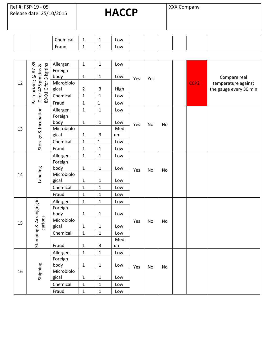Ref #: FSP-19 - 05 Ref #: FSP-19 - 05<br>Release date: 25/10/2015 **HACCP** XXX Company

| <b>Chemical</b>   |   | Low |
|-------------------|---|-----|
| <sup>:</sup> raud | - | Low |

|    |                                                                      | Allergen   | $\mathbf{1}$   | $\mathbf{1}$ | Low  |     |           |    |                  |                        |
|----|----------------------------------------------------------------------|------------|----------------|--------------|------|-----|-----------|----|------------------|------------------------|
| 12 |                                                                      | Foreign    |                |              |      | Yes | Yes       |    |                  |                        |
|    |                                                                      | body       | $\mathbf 1$    | $\mathbf{1}$ | Low  |     |           |    |                  | Compare real           |
|    |                                                                      | Microbiolo |                |              |      |     |           |    | CCP <sub>2</sub> | temperature against    |
|    | Pasteurizing @ 87-89<br>89-91 C for 3 kg tins<br>C for 425 gm tins & | gical      | $\overline{2}$ | $\mathsf 3$  | High |     |           |    |                  | the gauge every 30 min |
|    |                                                                      | Chemical   | $\mathbf{1}$   | $\mathbf 1$  | Low  |     |           |    |                  |                        |
|    |                                                                      | Fraud      | $\mathbf 1$    | $\mathbf 1$  | Low  |     |           |    |                  |                        |
|    | Storage & Incubation                                                 | Allergen   | $\mathbf{1}$   | $\mathbf 1$  | Low  |     |           |    |                  |                        |
|    |                                                                      | Foreign    |                |              |      |     |           |    |                  |                        |
|    |                                                                      | body       | $\mathbf 1$    | $\mathbf 1$  | Low  | Yes | No        | No |                  |                        |
| 13 |                                                                      | Microbiolo |                |              | Medi |     |           |    |                  |                        |
|    |                                                                      | gical      | $\mathbf{1}$   | $\mathsf{3}$ | um   |     |           |    |                  |                        |
|    |                                                                      | Chemical   | $\mathbf{1}$   | $\mathbf{1}$ | Low  |     |           |    |                  |                        |
|    |                                                                      | Fraud      | $\mathbf{1}$   | $\mathbf{1}$ | Low  |     |           |    |                  |                        |
|    | Labeling                                                             | Allergen   | $\mathbf{1}$   | $\mathbf{1}$ | Low  | Yes | No        | No |                  |                        |
|    |                                                                      | Foreign    |                |              |      |     |           |    |                  |                        |
|    |                                                                      | body       | $\mathbf 1$    | $\mathbf 1$  | Low  |     |           |    |                  |                        |
| 14 |                                                                      | Microbiolo |                |              |      |     |           |    |                  |                        |
|    |                                                                      | gical      | $\mathbf 1$    | $\mathbf 1$  | Low  |     |           |    |                  |                        |
|    |                                                                      | Chemical   | $\mathbf{1}$   | $\mathbf{1}$ | Low  |     |           |    |                  |                        |
|    |                                                                      | Fraud      | $\mathbf{1}$   | $\mathbf 1$  | Low  |     |           |    |                  |                        |
|    |                                                                      | Allergen   | $\mathbf 1$    | $\mathbf 1$  | Low  |     | No        | No |                  |                        |
|    | Stamping & Arranging in                                              | Foreign    |                |              |      |     |           |    |                  |                        |
|    |                                                                      | body       | $\mathbf 1$    | $\mathbf 1$  | Low  |     |           |    |                  |                        |
| 15 | cartons                                                              | Microbiolo |                |              |      | Yes |           |    |                  |                        |
|    |                                                                      | gical      | $\mathbf 1$    | $\mathbf 1$  | Low  |     |           |    |                  |                        |
|    |                                                                      | Chemical   | $\mathbf 1$    | $\mathbf 1$  | Low  |     |           |    |                  |                        |
|    |                                                                      |            |                |              | Medi |     |           |    |                  |                        |
|    |                                                                      | Fraud      | $\mathbf{1}$   | $\mathsf 3$  | um   |     |           |    |                  |                        |
|    |                                                                      | Allergen   | $\mathbf 1$    | $\mathbf{1}$ | Low  |     | <b>No</b> |    |                  |                        |
|    |                                                                      | Foreign    |                |              |      | Yes |           | No |                  |                        |
|    |                                                                      | body       | $\mathbf 1$    | $\mathbf 1$  | Low  |     |           |    |                  |                        |
| 16 | Shipping                                                             | Microbiolo |                |              |      |     |           |    |                  |                        |
|    |                                                                      | gical      | $\mathbf 1$    | $\mathbf{1}$ | Low  |     |           |    |                  |                        |
|    |                                                                      | Chemical   | $\mathbf 1$    | $\mathbf 1$  | Low  |     |           |    |                  |                        |
|    |                                                                      | Fraud      | $\mathbf{1}$   | $\mathbf{1}$ | Low  |     |           |    |                  |                        |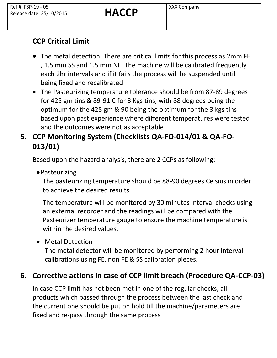## **CCP Critical Limit**

- The metal detection. There are critical limits for this process as 2mm FE , 1.5 mm SS and 1.5 mm NF. The machine will be calibrated frequently each 2hr intervals and if it fails the process will be suspended until being fixed and recalibrated
- The Pasteurizing temperature tolerance should be from 87-89 degrees for 425 gm tins & 89-91 C for 3 Kgs tins, with 88 degrees being the optimum for the 425 gm & 90 being the optimum for the 3 kgs tins based upon past experience where different temperatures were tested and the outcomes were not as acceptable

## **5. CCP Monitoring System (Checklists QA-FO-014/01 & QA-FO-013/01)**

Based upon the hazard analysis, there are 2 CCPs as following:

•Pasteurizing

The pasteurizing temperature should be 88-90 degrees Celsius in order to achieve the desired results.

The temperature will be monitored by 30 minutes interval checks using an external recorder and the readings will be compared with the Pasteurizer temperature gauge to ensure the machine temperature is within the desired values.

• Metal Detection

The metal detector will be monitored by performing 2 hour interval calibrations using FE, non FE & SS calibration pieces.

## **6. Corrective actions in case of CCP limit breach (Procedure QA-CCP-03)**

In case CCP limit has not been met in one of the regular checks, all products which passed through the process between the last check and the current one should be put on hold till the machine/parameters are fixed and re-pass through the same process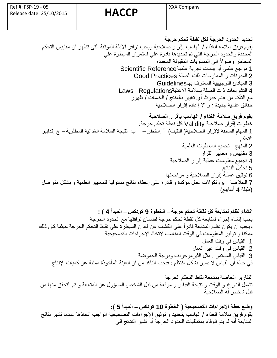**تحديد الحدود الحرجة لكل نقطة تحكم حرجة**  يقوم فريق سالمة الغذاء / الهاسب بإقرار صالحية ويجب توافر األدلة الموثقة التي تظهر أن مقاييس التحكم المحددة والحدود الحرجة التي تم تحديدها قادرة علي استمرار السيطرة علي المخاطر وصولاً الي المستويات المقبولة المحددة 1.مرجع علمي أو بيانات تجربة علميةScientific Reference .2المدونات و الممارسات ذات الصلة Practices Good .3المبادئ التوجيهية المعترف بها Guidelines .4التشريعات ذات الصلة بسالمة األغذية Regulations , Laws مع التأكد من عدم حدوث أي تغيير بالمنتج / الخامات / ظهور حقائق علمية جديدة : و ال إعادة إقرار الصالحية **يقوم فريق سالمة الغذاء / الهاسب بإقرار الصالحية**  خطوات إقرار صالحية Validity كل نقطة تحكم حرجة: .1المهام السابقة لقرار الصالحية( التثبت ) أ .الخطر – ب . نتيجة السالمة الغذائية المطلوبة – ج .تدابير التحكم .2المنهج : تجميع المعطيات العلمية .3مقاييس و معايير القرار .4تجميع معلومات عملية إقرار الصالحية .5تحليل النتائج .6توثيق عملية إقرار الصال حية و مراجعتها .7الخالصة : بروتكولت عمل مؤكدة و قادرة علي إعطاء نتائج مستوفية للمعايير العلمية و بشكل متواصل (طيلة 4 أسابيع)

**إنشاء نظام لمتابعة كل نقطة تحكم حرجة – الخطوة 9 كودكس – المبدأ 4 ( :**  يجب إنشاء إجراء لمتابعة كل نقطة تحكم حرجة لضمان توافقها مع الحدود الحرجة ويجب أن يكون نظام المتابعة قادراا علي الكشف عن فقدان السيطرة علي نقاط التحكم الحرجة حيثما كان ذلك ممكنا و توفير المعلومات في الوقت المناسب لتخاذ الجراءات التصحيحية .1 القياس في وقت العمل .2 القياس في وقت غير العمل .3 القياس المستمر : مثل الثيرموجراف ودرجة الحموضة في حالة أن القياس ل يسير بشكل منتظم : فيجب التأكد من أن العينة المأخوذة ممثلة عن كميات النتاج

التقارير الخاصة بمتابعة نقاط التحكم الحرجة تشمل التاريخ و الوقت و نتيجة القياس و موقعة من قبل الشخص المسؤول عن المتابعة و تم التحقق منها من قبل شخص له الصالحية

**وضع خطة اإلجراءات التصحيحية ( الخطوة 10 كودكس – المبدأ 5 (:**  يقوم فريق سالمة الغذاء / الهاسب بتحديد و توثيق الجراءات التصحيحية الواجب اتخاذها عندما تشير نتائج المتابعة أنه لم يتم الوفاء بمتطلبات الحدود الحرجة أو تشير النتائج الي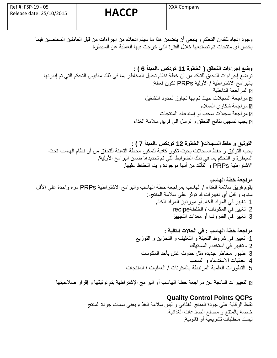وجود اتجاه لفقدان التحكم و ينبغي أن يتضمن هذا ما سيتم اتخاذه من إجراءات من قبل العاملين المختصين فيما يخص أي منتجات تم تصنيعها خالل الفترة التي خرجت فيها العملية عن السيطرة

**وضع إجراءات التحقق ( الخطوة 11 كودكس -المبدأ 6 ( :**  توضع إجراءات التحقق للتأكد من أن خطة نظام تحليل المخاطر بما في ذلك مقاييس التحكم التي تم إدار ها بالبرامج الشتراطية / األولية PRPs تكون فعالة: المراجعة الداخلية مراجعة السجالت حيث تم بها تجاوز لحدود التشغيل مراجعة شكاوي العمالء مراجعة سجالت سحب أو إستدعاء المنتجات يجب تسجيل نتائج التحقق و ترسل الي فريق سالمة الغذاء

**التوثيق و حفظ السجالت( الخطوة 12 كودكس -المبدأ 7 ( :**  يجب التوثيق و حفظ السجالت بحيث تكون كافية لتمكين محطة التعبئة للتحقق من أن نظام الهاسب تحت السيطرة و التحكم بما في ذلك الضوابط التي تم تحديدها ضمن البرامج الأولية/ الشتراطية PRPs و التأكد من أنها موجودة و يتم الحفاظ عليها.

**مراجعة خطة الهاسب** يقوم فريق سلامة الغذاء / الهاسب بمراجعة خطة الهاسب والبرامج الاشتراطية PRPs مرة واحدة على الأقل سنويا و قبل أي تغييرات قد تؤثر علي سلامة المنتج-: .1 تغيير في المواد الخام أو موردين المواد الخام .2 تغيير في المكونات / الخلطةrecipe .3 تغيير في الظروف أو معدات التجهيز

> **مراجعة خطة الهاسب : في الحاالت التالية :**  -1 تغيير في شروط التعبئة و التغليف و التخزين و التوزيع 2 - تغيير في استخدام المستهلك .3 ظهور مخاطر جديدة مثل حدوث غش بأحد المكونات .4 عمليات الستدعاء و السحب .5 التطورات العلمية المرتبطة بالمكونات / العمليات / المنتجات

التغييرات الناتجة عن مراجعة خطة الهاسب أو البرامج الشتراطية يتم توثيقها و إقرار صالحيتها

## **Quality Control Points QCPs**

نقاط الرقابة علي جودة المنتج الغذائي و ليس سالمة الغذاء يعني سمات جودة المنتج خاصة بالمنتج و مصنع الصناعات الغذائية. ليست متطلبات تشريعية أو قانونية .